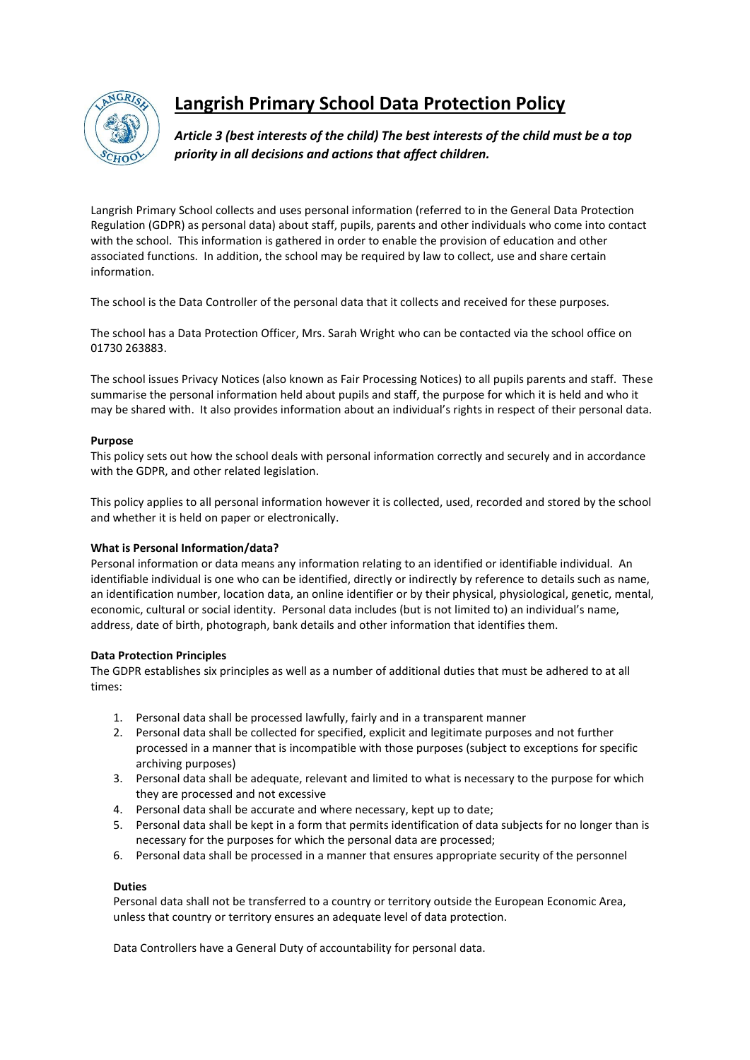

# **Langrish Primary School Data Protection Policy**

*Article 3 (best interests of the child) The best interests of the child must be a top priority in all decisions and actions that affect children.*

Langrish Primary School collects and uses personal information (referred to in the General Data Protection Regulation (GDPR) as personal data) about staff, pupils, parents and other individuals who come into contact with the school. This information is gathered in order to enable the provision of education and other associated functions. In addition, the school may be required by law to collect, use and share certain information.

The school is the Data Controller of the personal data that it collects and received for these purposes.

The school has a Data Protection Officer, Mrs. Sarah Wright who can be contacted via the school office on 01730 263883.

The school issues Privacy Notices (also known as Fair Processing Notices) to all pupils parents and staff. These summarise the personal information held about pupils and staff, the purpose for which it is held and who it may be shared with. It also provides information about an individual's rights in respect of their personal data.

### **Purpose**

This policy sets out how the school deals with personal information correctly and securely and in accordance with the GDPR, and other related legislation.

This policy applies to all personal information however it is collected, used, recorded and stored by the school and whether it is held on paper or electronically.

## **What is Personal Information/data?**

Personal information or data means any information relating to an identified or identifiable individual. An identifiable individual is one who can be identified, directly or indirectly by reference to details such as name, an identification number, location data, an online identifier or by their physical, physiological, genetic, mental, economic, cultural or social identity. Personal data includes (but is not limited to) an individual's name, address, date of birth, photograph, bank details and other information that identifies them.

#### **Data Protection Principles**

The GDPR establishes six principles as well as a number of additional duties that must be adhered to at all times:

- 1. Personal data shall be processed lawfully, fairly and in a transparent manner
- 2. Personal data shall be collected for specified, explicit and legitimate purposes and not further processed in a manner that is incompatible with those purposes (subject to exceptions for specific archiving purposes)
- 3. Personal data shall be adequate, relevant and limited to what is necessary to the purpose for which they are processed and not excessive
- 4. Personal data shall be accurate and where necessary, kept up to date;
- 5. Personal data shall be kept in a form that permits identification of data subjects for no longer than is necessary for the purposes for which the personal data are processed;
- 6. Personal data shall be processed in a manner that ensures appropriate security of the personnel

#### **Duties**

Personal data shall not be transferred to a country or territory outside the European Economic Area, unless that country or territory ensures an adequate level of data protection.

Data Controllers have a General Duty of accountability for personal data.